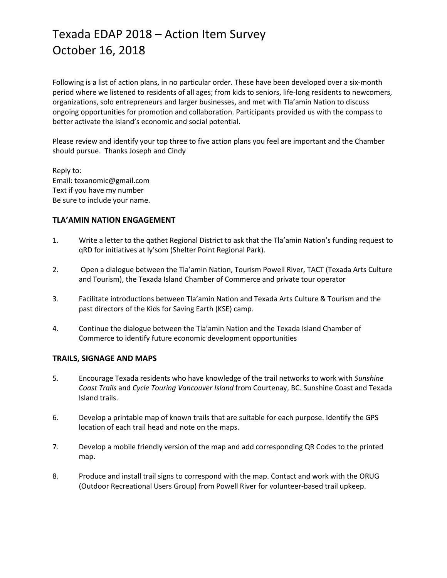Following is a list of action plans, in no particular order. These have been developed over a six-month period where we listened to residents of all ages; from kids to seniors, life-long residents to newcomers, organizations, solo entrepreneurs and larger businesses, and met with Tla'amin Nation to discuss ongoing opportunities for promotion and collaboration. Participants provided us with the compass to better activate the island's economic and social potential.

Please review and identify your top three to five action plans you feel are important and the Chamber should pursue. Thanks Joseph and Cindy

Reply to: Email: texanomic@gmail.com Text if you have my number Be sure to include your name.

### **TLA'AMIN NATION ENGAGEMENT**

- 1. Write a letter to the qathet Regional District to ask that the Tla'amin Nation's funding request to qRD for initiatives at ly'som (Shelter Point Regional Park).
- 2. Open a dialogue between the Tla'amin Nation, Tourism Powell River, TACT (Texada Arts Culture and Tourism), the Texada Island Chamber of Commerce and private tour operator
- 3. Facilitate introductions between Tla'amin Nation and Texada Arts Culture & Tourism and the past directors of the Kids for Saving Earth (KSE) camp.
- 4. Continue the dialogue between the Tla'amin Nation and the Texada Island Chamber of Commerce to identify future economic development opportunities

#### **TRAILS, SIGNAGE AND MAPS**

- 5. Encourage Texada residents who have knowledge of the trail networks to work with *Sunshine Coast Trails* and *Cycle Touring Vancouver Island* from Courtenay, BC. Sunshine Coast and Texada Island trails.
- 6. Develop a printable map of known trails that are suitable for each purpose. Identify the GPS location of each trail head and note on the maps.
- 7. Develop a mobile friendly version of the map and add corresponding QR Codes to the printed map.
- 8. Produce and install trail signs to correspond with the map. Contact and work with the ORUG (Outdoor Recreational Users Group) from Powell River for volunteer-based trail upkeep.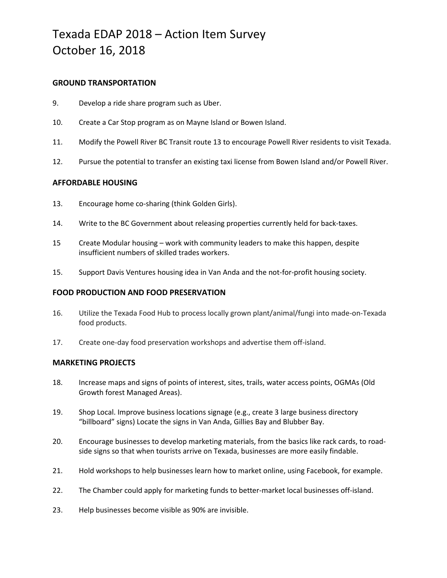#### **GROUND TRANSPORTATION**

- 9. Develop a ride share program such as Uber.
- 10. Create a Car Stop program as on Mayne Island or Bowen Island.
- 11. Modify the Powell River BC Transit route 13 to encourage Powell River residents to visit Texada.
- 12. Pursue the potential to transfer an existing taxi license from Bowen Island and/or Powell River.

### **AFFORDABLE HOUSING**

- 13. Encourage home co-sharing (think Golden Girls).
- 14. Write to the BC Government about releasing properties currently held for back-taxes.
- 15 Create Modular housing work with community leaders to make this happen, despite insufficient numbers of skilled trades workers.
- 15. Support Davis Ventures housing idea in Van Anda and the not-for-profit housing society.

#### **FOOD PRODUCTION AND FOOD PRESERVATION**

- 16. Utilize the Texada Food Hub to process locally grown plant/animal/fungi into made-on-Texada food products.
- 17. Create one-day food preservation workshops and advertise them off-island.

#### **MARKETING PROJECTS**

- 18. Increase maps and signs of points of interest, sites, trails, water access points, OGMAs (Old Growth forest Managed Areas).
- 19. Shop Local. Improve business locations signage (e.g., create 3 large business directory "billboard" signs) Locate the signs in Van Anda, Gillies Bay and Blubber Bay.
- 20. Encourage businesses to develop marketing materials, from the basics like rack cards, to roadside signs so that when tourists arrive on Texada, businesses are more easily findable.
- 21. Hold workshops to help businesses learn how to market online, using Facebook, for example.
- 22. The Chamber could apply for marketing funds to better-market local businesses off-island.
- 23. Help businesses become visible as 90% are invisible.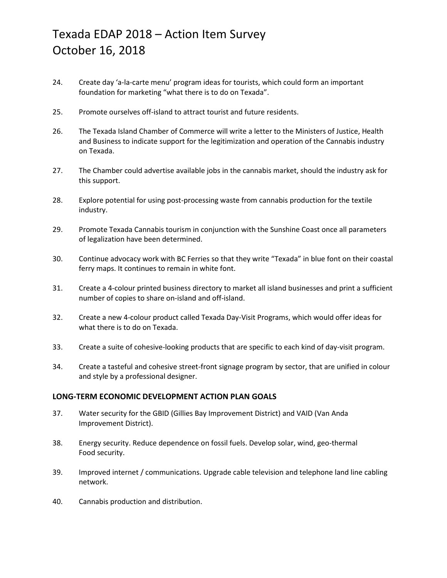- 24. Create day 'a-la-carte menu' program ideas for tourists, which could form an important foundation for marketing "what there is to do on Texada".
- 25. Promote ourselves off-island to attract tourist and future residents.
- 26. The Texada Island Chamber of Commerce will write a letter to the Ministers of Justice, Health and Business to indicate support for the legitimization and operation of the Cannabis industry on Texada.
- 27. The Chamber could advertise available jobs in the cannabis market, should the industry ask for this support.
- 28. Explore potential for using post-processing waste from cannabis production for the textile industry.
- 29. Promote Texada Cannabis tourism in conjunction with the Sunshine Coast once all parameters of legalization have been determined.
- 30. Continue advocacy work with BC Ferries so that they write "Texada" in blue font on their coastal ferry maps. It continues to remain in white font.
- 31. Create a 4-colour printed business directory to market all island businesses and print a sufficient number of copies to share on-island and off-island.
- 32. Create a new 4-colour product called Texada Day-Visit Programs, which would offer ideas for what there is to do on Texada.
- 33. Create a suite of cohesive-looking products that are specific to each kind of day-visit program.
- 34. Create a tasteful and cohesive street-front signage program by sector, that are unified in colour and style by a professional designer.

## **LONG-TERM ECONOMIC DEVELOPMENT ACTION PLAN GOALS**

- 37. Water security for the GBID (Gillies Bay Improvement District) and VAID (Van Anda Improvement District).
- 38. Energy security. Reduce dependence on fossil fuels. Develop solar, wind, geo-thermal Food security.
- 39. Improved internet / communications. Upgrade cable television and telephone land line cabling network.
- 40. Cannabis production and distribution.